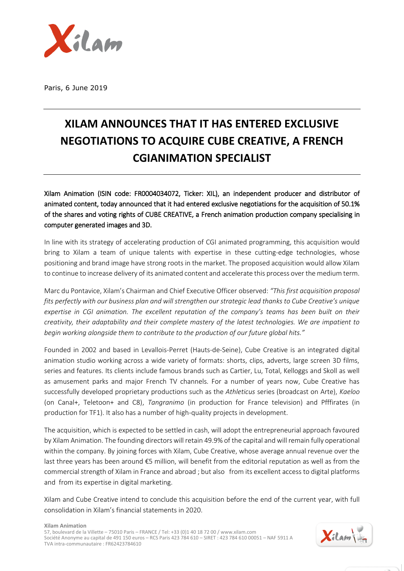

Paris, 6 June 2019

## **XILAM ANNOUNCES THAT IT HAS ENTERED EXCLUSIVE NEGOTIATIONS TO ACQUIRE CUBE CREATIVE, A FRENCH CGIANIMATION SPECIALIST**

Xilam Animation (ISIN code: FR0004034072, Ticker: XIL), an independent producer and distributor of animated content, today announced that it had entered exclusive negotiations for the acquisition of 50.1% of the shares and voting rights of CUBE CREATIVE, a French animation production company specialising in computer generated images and 3D.

In line with its strategy of accelerating production of CGI animated programming, this acquisition would bring to Xilam a team of unique talents with expertise in these cutting-edge technologies, whose positioning and brand image have strong roots in the market. The proposed acquisition would allow Xilam to continue to increase delivery of its animated content and accelerate this process over the medium term.

Marc du Pontavice, Xilam's Chairman and Chief Executive Officer observed: *"This first acquisition proposal fits perfectly with our business plan and will strengthen our strategic lead thanks to Cube Creative's unique expertise in CGI animation. The excellent reputation of the company's teams has been built on their creativity, their adaptability and their complete mastery of the latest technologies. We are impatient to begin working alongside them to contribute to the production of our future global hits."*

Founded in 2002 and based in Levallois-Perret (Hauts-de-Seine), Cube Creative is an integrated digital animation studio working across a wide variety of formats: shorts, clips, adverts, large screen 3D films, series and features. Its clients include famous brands such as Cartier, Lu, Total, Kelloggs and Skoll as well as amusement parks and major French TV channels. For a number of years now, Cube Creative has successfully developed proprietary productions such as the *Athleticus* series (broadcast on Arte), *Kaeloo* (on Canal+, Teletoon+ and C8), *Tangranimo* (in production for France television) and Pfffirates (in production for TF1). It also has a number of high-quality projects in development.

The acquisition, which is expected to be settled in cash, will adopt the entrepreneurial approach favoured by Xilam Animation. The founding directors will retain 49.9% of the capital and will remain fully operational within the company. By joining forces with Xilam, Cube Creative, whose average annual revenue over the last three years has been around €5 million, will benefit from the editorial reputation as well as from the commercial strength of Xilam in France and abroad ; but also from its excellent access to digital platforms and from its expertise in digital marketing.

Xilam and Cube Creative intend to conclude this acquisition before the end of the current year, with full consolidation in Xilam's financial statements in 2020.